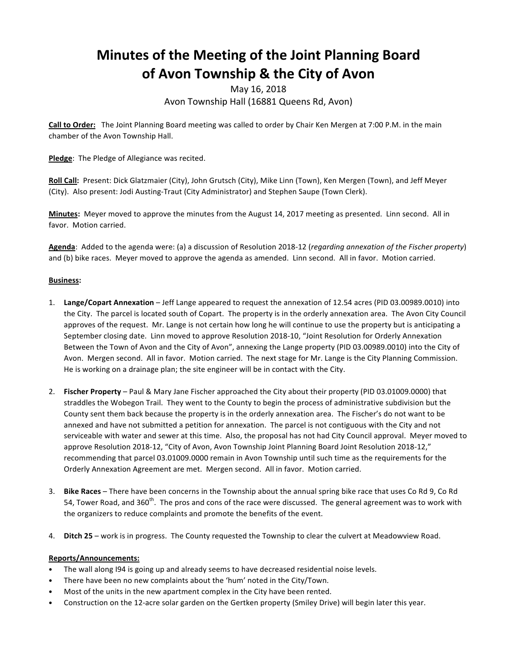# **Minutes of the Meeting of the Joint Planning Board** of Avon Township & the City of Avon

## May 16, 2018 Avon Township Hall (16881 Queens Rd, Avon)

**Call to Order:** The Joint Planning Board meeting was called to order by Chair Ken Mergen at 7:00 P.M. in the main chamber of the Avon Township Hall.

Pledge: The Pledge of Allegiance was recited.

Roll Call: Present: Dick Glatzmaier (City), John Grutsch (City), Mike Linn (Town), Ken Mergen (Town), and Jeff Meyer (City). Also present: Jodi Austing-Traut (City Administrator) and Stephen Saupe (Town Clerk).

Minutes: Meyer moved to approve the minutes from the August 14, 2017 meeting as presented. Linn second. All in favor. Motion carried.

Agenda: Added to the agenda were: (a) a discussion of Resolution 2018-12 (*regarding annexation of the Fischer property*) and (b) bike races. Meyer moved to approve the agenda as amended. Linn second. All in favor. Motion carried.

### **Business:**

- 1. Lange/Copart Annexation Jeff Lange appeared to request the annexation of 12.54 acres (PID 03.00989.0010) into the City. The parcel is located south of Copart. The property is in the orderly annexation area. The Avon City Council approves of the request. Mr. Lange is not certain how long he will continue to use the property but is anticipating a September closing date. Linn moved to approve Resolution 2018-10, "Joint Resolution for Orderly Annexation Between the Town of Avon and the City of Avon", annexing the Lange property (PID 03.00989.0010) into the City of Avon. Mergen second. All in favor. Motion carried. The next stage for Mr. Lange is the City Planning Commission. He is working on a drainage plan; the site engineer will be in contact with the City.
- 2. **Fischer Property** Paul & Mary Jane Fischer approached the City about their property (PID 03.01009.0000) that straddles the Wobegon Trail. They went to the County to begin the process of administrative subdivision but the County sent them back because the property is in the orderly annexation area. The Fischer's do not want to be annexed and have not submitted a petition for annexation. The parcel is not contiguous with the City and not serviceable with water and sewer at this time. Also, the proposal has not had City Council approval. Meyer moved to approve Resolution 2018-12, "City of Avon, Avon Township Joint Planning Board Joint Resolution 2018-12," recommending that parcel 03.01009.0000 remain in Avon Township until such time as the requirements for the Orderly Annexation Agreement are met. Mergen second. All in favor. Motion carried.
- 3. Bike Races There have been concerns in the Township about the annual spring bike race that uses Co Rd 9, Co Rd 54, Tower Road, and  $360^{\text{th}}$ . The pros and cons of the race were discussed. The general agreement was to work with the organizers to reduce complaints and promote the benefits of the event.
- 4. **Ditch 25** work is in progress. The County requested the Township to clear the culvert at Meadowview Road.

#### **Reports/Announcements:**

- The wall along I94 is going up and already seems to have decreased residential noise levels.
- There have been no new complaints about the 'hum' noted in the City/Town.
- Most of the units in the new apartment complex in the City have been rented.
- Construction on the 12-acre solar garden on the Gertken property (Smiley Drive) will begin later this year.